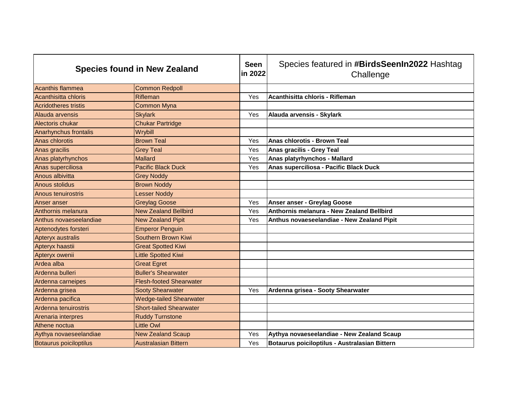| <b>Species found in New Zealand</b> |                                | <b>Seen</b><br>in 2022 | Species featured in #BirdsSeenIn2022 Hashtag<br>Challenge |
|-------------------------------------|--------------------------------|------------------------|-----------------------------------------------------------|
| <b>Acanthis flammea</b>             | <b>Common Redpoll</b>          |                        |                                                           |
| Acanthisitta chloris                | Rifleman                       | Yes                    | Acanthisitta chloris - Rifleman                           |
| <b>Acridotheres tristis</b>         | <b>Common Myna</b>             |                        |                                                           |
| Alauda arvensis                     | <b>Skylark</b>                 | Yes                    | Alauda arvensis - Skylark                                 |
| <b>Alectoris chukar</b>             | <b>Chukar Partridge</b>        |                        |                                                           |
| Anarhynchus frontalis               | Wrybill                        |                        |                                                           |
| Anas chlorotis                      | <b>Brown Teal</b>              | Yes                    | Anas chlorotis - Brown Teal                               |
| Anas gracilis                       | <b>Grey Teal</b>               | Yes                    | Anas gracilis - Grey Teal                                 |
| Anas platyrhynchos                  | <b>Mallard</b>                 | Yes                    | Anas platyrhynchos - Mallard                              |
| Anas superciliosa                   | <b>Pacific Black Duck</b>      | Yes                    | Anas superciliosa - Pacific Black Duck                    |
| Anous albivitta                     | <b>Grey Noddy</b>              |                        |                                                           |
| <b>Anous stolidus</b>               | <b>Brown Noddy</b>             |                        |                                                           |
| Anous tenuirostris                  | <b>Lesser Noddy</b>            |                        |                                                           |
| Anser anser                         | <b>Greylag Goose</b>           | Yes                    | Anser anser - Greylag Goose                               |
| Anthornis melanura                  | <b>New Zealand Bellbird</b>    | Yes                    | Anthornis melanura - New Zealand Bellbird                 |
| Anthus novaeseelandiae              | <b>New Zealand Pipit</b>       | Yes                    | Anthus novaeseelandiae - New Zealand Pipit                |
| Aptenodytes forsteri                | <b>Emperor Penguin</b>         |                        |                                                           |
| Apteryx australis                   | <b>Southern Brown Kiwi</b>     |                        |                                                           |
| Apteryx haastii                     | <b>Great Spotted Kiwi</b>      |                        |                                                           |
| Apteryx owenii                      | <b>Little Spotted Kiwi</b>     |                        |                                                           |
| Ardea alba                          | <b>Great Egret</b>             |                        |                                                           |
| Ardenna bulleri                     | <b>Buller's Shearwater</b>     |                        |                                                           |
| Ardenna carneipes                   | <b>Flesh-footed Shearwater</b> |                        |                                                           |
| Ardenna grisea                      | <b>Sooty Shearwater</b>        | Yes                    | Ardenna grisea - Sooty Shearwater                         |
| Ardenna pacifica                    | <b>Wedge-tailed Shearwater</b> |                        |                                                           |
| Ardenna tenuirostris                | <b>Short-tailed Shearwater</b> |                        |                                                           |
| Arenaria interpres                  | <b>Ruddy Turnstone</b>         |                        |                                                           |
| Athene noctua                       | <b>Little Owl</b>              |                        |                                                           |
| Aythya novaeseelandiae              | <b>New Zealand Scaup</b>       | Yes                    | Aythya novaeseelandiae - New Zealand Scaup                |
| Botaurus poiciloptilus              | <b>Australasian Bittern</b>    | Yes                    | Botaurus poiciloptilus - Australasian Bittern             |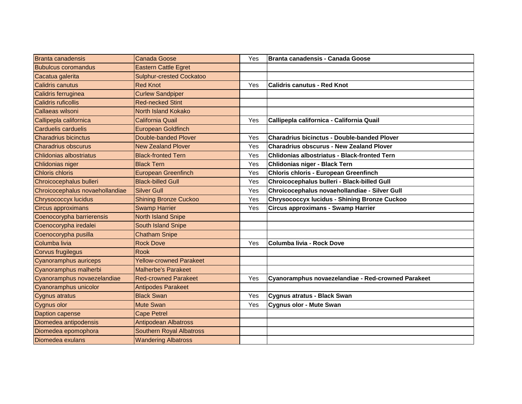| <b>Branta canadensis</b>        | <b>Canada Goose</b>             | Yes | <b>Branta canadensis - Canada Goose</b>             |
|---------------------------------|---------------------------------|-----|-----------------------------------------------------|
| <b>Bubulcus coromandus</b>      | <b>Eastern Cattle Egret</b>     |     |                                                     |
| Cacatua galerita                | <b>Sulphur-crested Cockatoo</b> |     |                                                     |
| Calidris canutus                | <b>Red Knot</b>                 | Yes | <b>Calidris canutus - Red Knot</b>                  |
| Calidris ferruginea             | <b>Curlew Sandpiper</b>         |     |                                                     |
| Calidris ruficollis             | <b>Red-necked Stint</b>         |     |                                                     |
| Callaeas wilsoni                | North Island Kokako             |     |                                                     |
| Callipepla californica          | <b>California Quail</b>         | Yes | Callipepla californica - California Quail           |
| Carduelis carduelis             | <b>European Goldfinch</b>       |     |                                                     |
| <b>Charadrius bicinctus</b>     | Double-banded Plover            | Yes | <b>Charadrius bicinctus - Double-banded Plover</b>  |
| <b>Charadrius obscurus</b>      | <b>New Zealand Plover</b>       | Yes | <b>Charadrius obscurus - New Zealand Plover</b>     |
| Chlidonias albostriatus         | <b>Black-fronted Tern</b>       | Yes | <b>Chlidonias albostriatus - Black-fronted Tern</b> |
| Chlidonias niger                | <b>Black Tern</b>               | Yes | Chlidonias niger - Black Tern                       |
| <b>Chloris chloris</b>          | <b>European Greenfinch</b>      | Yes | <b>Chloris chloris - European Greenfinch</b>        |
| Chroicocephalus bulleri         | <b>Black-billed Gull</b>        | Yes | Chroicocephalus bulleri - Black-billed Gull         |
| Chroicocephalus novaehollandiae | <b>Silver Gull</b>              | Yes | Chroicocephalus novaehollandiae - Silver Gull       |
| <b>Chrysococcyx lucidus</b>     | <b>Shining Bronze Cuckoo</b>    | Yes | <b>Chrysococcyx lucidus - Shining Bronze Cuckoo</b> |
| <b>Circus approximans</b>       | <b>Swamp Harrier</b>            | Yes | Circus approximans - Swamp Harrier                  |
| Coenocorypha barrierensis       | <b>North Island Snipe</b>       |     |                                                     |
| Coenocorypha iredalei           | <b>South Island Snipe</b>       |     |                                                     |
| Coenocorypha pusilla            | <b>Chatham Snipe</b>            |     |                                                     |
| Columba livia                   | <b>Rock Dove</b>                | Yes | Columba livia - Rock Dove                           |
| Corvus frugilegus               | <b>Rook</b>                     |     |                                                     |
| Cyanoramphus auriceps           | <b>Yellow-crowned Parakeet</b>  |     |                                                     |
| Cyanoramphus malherbi           | <b>Malherbe's Parakeet</b>      |     |                                                     |
| Cyanoramphus novaezelandiae     | <b>Red-crowned Parakeet</b>     | Yes | Cyanoramphus novaezelandiae - Red-crowned Parakeet  |
| Cyanoramphus unicolor           | <b>Antipodes Parakeet</b>       |     |                                                     |
| <b>Cygnus atratus</b>           | <b>Black Swan</b>               | Yes | Cygnus atratus - Black Swan                         |
| Cygnus olor                     | <b>Mute Swan</b>                | Yes | <b>Cygnus olor - Mute Swan</b>                      |
| Daption capense                 | <b>Cape Petrel</b>              |     |                                                     |
| Diomedea antipodensis           | <b>Antipodean Albatross</b>     |     |                                                     |
| Diomedea epomophora             | <b>Southern Royal Albatross</b> |     |                                                     |
| Diomedea exulans                | <b>Wandering Albatross</b>      |     |                                                     |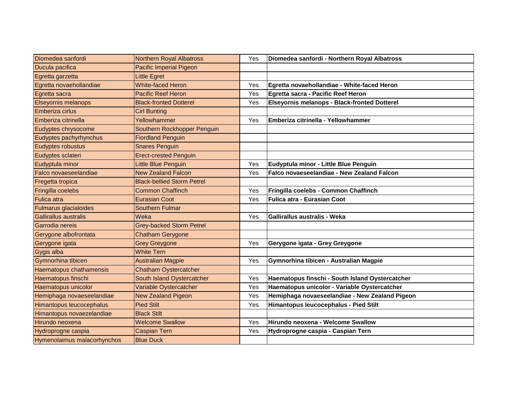| Diomedea sanfordi            | <b>Northern Royal Albatross</b>   | Yes | Diomedea sanfordi - Northern Royal Albatross    |
|------------------------------|-----------------------------------|-----|-------------------------------------------------|
| Ducula pacifica              | <b>Pacific Imperial Pigeon</b>    |     |                                                 |
| Egretta garzetta             | Little Egret                      |     |                                                 |
| Egretta novaehollandiae      | <b>White-faced Heron</b>          | Yes | Egretta novaehollandiae - White-faced Heron     |
| Egretta sacra                | <b>Pacific Reef Heron</b>         | Yes | Egretta sacra - Pacific Reef Heron              |
| <b>Elseyornis melanops</b>   | <b>Black-fronted Dotterel</b>     | Yes | Elseyornis melanops - Black-fronted Dotterel    |
| Emberiza cirlus              | <b>Cirl Bunting</b>               |     |                                                 |
| Emberiza citrinella          | Yellowhammer                      | Yes | Emberiza citrinella - Yellowhammer              |
| Eudyptes chrysocome          | Southern Rockhopper Penguin       |     |                                                 |
| Eudyptes pachyrhynchus       | <b>Fiordland Penguin</b>          |     |                                                 |
| Eudyptes robustus            | <b>Snares Penguin</b>             |     |                                                 |
| Eudyptes sclateri            | <b>Erect-crested Penguin</b>      |     |                                                 |
| Eudyptula minor              | <b>Little Blue Penguin</b>        | Yes | Eudyptula minor - Little Blue Penguin           |
| Falco novaeseelandiae        | <b>New Zealand Falcon</b>         | Yes | Falco novaeseelandiae - New Zealand Falcon      |
| Fregetta tropica             | <b>Black-bellied Storm Petrel</b> |     |                                                 |
| Fringilla coelebs            | <b>Common Chaffinch</b>           | Yes | Fringilla coelebs - Common Chaffinch            |
| <b>Fulica</b> atra           | <b>Eurasian Coot</b>              | Yes | Fulica atra - Eurasian Coot                     |
| <b>Fulmarus glacialoides</b> | <b>Southern Fulmar</b>            |     |                                                 |
| <b>Gallirallus australis</b> | Weka                              | Yes | Gallirallus australis - Weka                    |
| Garrodia nereis              | <b>Grey-backed Storm Petrel</b>   |     |                                                 |
| Gerygone albofrontata        | <b>Chatham Gerygone</b>           |     |                                                 |
| Gerygone igata               | <b>Grey Greygone</b>              | Yes | Gerygone igata - Grey Greygone                  |
| Gygis alba                   | <b>White Tern</b>                 |     |                                                 |
| Gymnorhina tibicen           | <b>Australian Magpie</b>          | Yes | Gymnorhina tibicen - Australian Magpie          |
| Haematopus chathamensis      | <b>Chatham Oystercatcher</b>      |     |                                                 |
| Haematopus finschi           | South Island Oystercatcher        | Yes | Haematopus finschi - South Island Oystercatcher |
| Haematopus unicolor          | Variable Oystercatcher            | Yes | Haematopus unicolor - Variable Oystercatcher    |
| Hemiphaga novaeseelandiae    | <b>New Zealand Pigeon</b>         | Yes | Hemiphaga novaeseelandiae - New Zealand Pigeon  |
| Himantopus leucocephalus     | <b>Pied Stilt</b>                 | Yes | Himantopus leucocephalus - Pied Stilt           |
| Himantopus novaezelandiae    | <b>Black Stilt</b>                |     |                                                 |
| Hirundo neoxena              | <b>Welcome Swallow</b>            | Yes | Hirundo neoxena - Welcome Swallow               |
| Hydroprogne caspia           | <b>Caspian Tern</b>               | Yes | Hydroprogne caspia - Caspian Tern               |
| Hymenolaimus malacorhynchos  | <b>Blue Duck</b>                  |     |                                                 |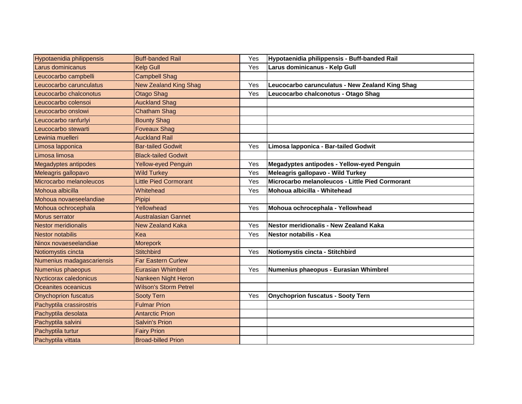| Hypotaenidia philippensis   | <b>Buff-banded Rail</b>      | Yes | Hypotaenidia philippensis - Buff-banded Rail    |
|-----------------------------|------------------------------|-----|-------------------------------------------------|
| Larus dominicanus           | <b>Kelp Gull</b>             | Yes | Larus dominicanus - Kelp Gull                   |
| Leucocarbo campbelli        | <b>Campbell Shag</b>         |     |                                                 |
| Leucocarbo carunculatus     | <b>New Zealand King Shag</b> | Yes | Leucocarbo carunculatus - New Zealand King Shag |
| Leucocarbo chalconotus      | <b>Otago Shag</b>            | Yes | Leucocarbo chalconotus - Otago Shag             |
| Leucocarbo colensoi         | <b>Auckland Shag</b>         |     |                                                 |
| Leucocarbo onslowi          | <b>Chatham Shag</b>          |     |                                                 |
| Leucocarbo ranfurlyi        | <b>Bounty Shag</b>           |     |                                                 |
| Leucocarbo stewarti         | <b>Foveaux Shag</b>          |     |                                                 |
| Lewinia muelleri            | <b>Auckland Rail</b>         |     |                                                 |
| Limosa lapponica            | <b>Bar-tailed Godwit</b>     | Yes | Limosa Iapponica - Bar-tailed Godwit            |
| Limosa limosa               | <b>Black-tailed Godwit</b>   |     |                                                 |
| <b>Megadyptes antipodes</b> | <b>Yellow-eyed Penguin</b>   | Yes | Megadyptes antipodes - Yellow-eyed Penguin      |
| Meleagris gallopavo         | <b>Wild Turkey</b>           | Yes | Meleagris gallopavo - Wild Turkey               |
| Microcarbo melanoleucos     | <b>Little Pied Cormorant</b> | Yes | Microcarbo melanoleucos - Little Pied Cormorant |
| Mohoua albicilla            | Whitehead                    | Yes | Mohoua albicilla - Whitehead                    |
| Mohoua novaeseelandiae      | Pipipi                       |     |                                                 |
| Mohoua ochrocephala         | Yellowhead                   | Yes | Mohoua ochrocephala - Yellowhead                |
| <b>Morus serrator</b>       | <b>Australasian Gannet</b>   |     |                                                 |
| <b>Nestor meridionalis</b>  | <b>New Zealand Kaka</b>      | Yes | Nestor meridionalis - New Zealand Kaka          |
| Nestor notabilis            | Kea                          | Yes | Nestor notabilis - Kea                          |
| Ninox novaeseelandiae       | Morepork                     |     |                                                 |
| Notiomystis cincta          | <b>Stitchbird</b>            | Yes | Notiomystis cincta - Stitchbird                 |
| Numenius madagascariensis   | <b>Far Eastern Curlew</b>    |     |                                                 |
| Numenius phaeopus           | <b>Eurasian Whimbrel</b>     | Yes | Numenius phaeopus - Eurasian Whimbrel           |
| Nycticorax caledonicus      | Nankeen Night Heron          |     |                                                 |
| Oceanites oceanicus         | <b>Wilson's Storm Petrel</b> |     |                                                 |
| <b>Onychoprion fuscatus</b> | <b>Sooty Tern</b>            | Yes | <b>Onychoprion fuscatus - Sooty Tern</b>        |
| Pachyptila crassirostris    | <b>Fulmar Prion</b>          |     |                                                 |
| Pachyptila desolata         | <b>Antarctic Prion</b>       |     |                                                 |
| Pachyptila salvini          | <b>Salvin's Prion</b>        |     |                                                 |
| Pachyptila turtur           | <b>Fairy Prion</b>           |     |                                                 |
| Pachyptila vittata          | <b>Broad-billed Prion</b>    |     |                                                 |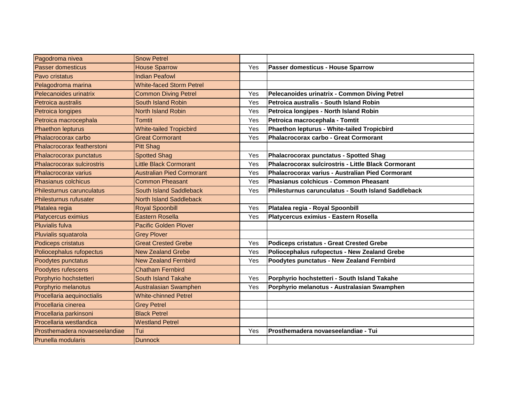| Pagodroma nivea               | <b>Snow Petrel</b>               |     |                                                            |
|-------------------------------|----------------------------------|-----|------------------------------------------------------------|
| <b>Passer domesticus</b>      | <b>House Sparrow</b>             | Yes | Passer domesticus - House Sparrow                          |
| Pavo cristatus                | <b>Indian Peafowl</b>            |     |                                                            |
| Pelagodroma marina            | <b>White-faced Storm Petrel</b>  |     |                                                            |
| Pelecanoides urinatrix        | <b>Common Diving Petrel</b>      | Yes | Pelecanoides urinatrix - Common Diving Petrel              |
| Petroica australis            | South Island Robin               | Yes | Petroica australis - South Island Robin                    |
| Petroica longipes             | <b>North Island Robin</b>        | Yes | Petroica longipes - North Island Robin                     |
| Petroica macrocephala         | <b>Tomtit</b>                    | Yes | Petroica macrocephala - Tomtit                             |
| <b>Phaethon lepturus</b>      | <b>White-tailed Tropicbird</b>   | Yes | Phaethon lepturus - White-tailed Tropicbird                |
| Phalacrocorax carbo           | <b>Great Cormorant</b>           | Yes | <b>Phalacrocorax carbo - Great Cormorant</b>               |
| Phalacrocorax featherstoni    | <b>Pitt Shag</b>                 |     |                                                            |
| Phalacrocorax punctatus       | <b>Spotted Shag</b>              | Yes | <b>Phalacrocorax punctatus - Spotted Shag</b>              |
| Phalacrocorax sulcirostris    | <b>Little Black Cormorant</b>    | Yes | <b>Phalacrocorax sulcirostris - Little Black Cormorant</b> |
| Phalacrocorax varius          | <b>Australian Pied Cormorant</b> | Yes | Phalacrocorax varius - Australian Pied Cormorant           |
| Phasianus colchicus           | <b>Common Pheasant</b>           | Yes | Phasianus colchicus - Common Pheasant                      |
| Philesturnus carunculatus     | South Island Saddleback          | Yes | Philesturnus carunculatus - South Island Saddleback        |
| Philesturnus rufusater        | <b>North Island Saddleback</b>   |     |                                                            |
| Platalea regia                | <b>Royal Spoonbill</b>           | Yes | Platalea regia - Royal Spoonbill                           |
| <b>Platycercus eximius</b>    | <b>Eastern Rosella</b>           | Yes | Platycercus eximius - Eastern Rosella                      |
| <b>Pluvialis fulva</b>        | <b>Pacific Golden Plover</b>     |     |                                                            |
| Pluvialis squatarola          | <b>Grey Plover</b>               |     |                                                            |
| Podiceps cristatus            | <b>Great Crested Grebe</b>       | Yes | <b>Podiceps cristatus - Great Crested Grebe</b>            |
| Poliocephalus rufopectus      | <b>New Zealand Grebe</b>         | Yes | Poliocephalus rufopectus - New Zealand Grebe               |
| Poodytes punctatus            | <b>New Zealand Fernbird</b>      | Yes | Poodytes punctatus - New Zealand Fernbird                  |
| Poodytes rufescens            | <b>Chatham Fernbird</b>          |     |                                                            |
| Porphyrio hochstetteri        | <b>South Island Takahe</b>       | Yes | Porphyrio hochstetteri - South Island Takahe               |
| Porphyrio melanotus           | <b>Australasian Swamphen</b>     | Yes | Porphyrio melanotus - Australasian Swamphen                |
| Procellaria aequinoctialis    | <b>White-chinned Petrel</b>      |     |                                                            |
| Procellaria cinerea           | <b>Grey Petrel</b>               |     |                                                            |
| Procellaria parkinsoni        | <b>Black Petrel</b>              |     |                                                            |
| Procellaria westlandica       | <b>Westland Petrel</b>           |     |                                                            |
| Prosthemadera novaeseelandiae | Tui                              | Yes | Prosthemadera novaeseelandiae - Tui                        |
| Prunella modularis            | <b>Dunnock</b>                   |     |                                                            |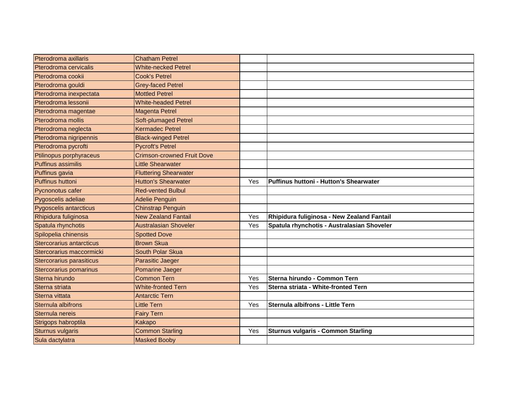| Pterodroma axillaris      | <b>Chatham Petrel</b>             |     |                                            |
|---------------------------|-----------------------------------|-----|--------------------------------------------|
| Pterodroma cervicalis     | <b>White-necked Petrel</b>        |     |                                            |
| Pterodroma cookii         | <b>Cook's Petrel</b>              |     |                                            |
| Pterodroma gouldi         | <b>Grey-faced Petrel</b>          |     |                                            |
| Pterodroma inexpectata    | <b>Mottled Petrel</b>             |     |                                            |
| Pterodroma lessonii       | <b>White-headed Petrel</b>        |     |                                            |
| Pterodroma magentae       | <b>Magenta Petrel</b>             |     |                                            |
| Pterodroma mollis         | <b>Soft-plumaged Petrel</b>       |     |                                            |
| Pterodroma neglecta       | <b>Kermadec Petrel</b>            |     |                                            |
| Pterodroma nigripennis    | <b>Black-winged Petrel</b>        |     |                                            |
| Pterodroma pycrofti       | <b>Pycroft's Petrel</b>           |     |                                            |
| Ptilinopus porphyraceus   | <b>Crimson-crowned Fruit Dove</b> |     |                                            |
| <b>Puffinus assimilis</b> | <b>Little Shearwater</b>          |     |                                            |
| Puffinus gavia            | <b>Fluttering Shearwater</b>      |     |                                            |
| <b>Puffinus huttoni</b>   | <b>Hutton's Shearwater</b>        | Yes | Puffinus huttoni - Hutton's Shearwater     |
| Pycnonotus cafer          | <b>Red-vented Bulbul</b>          |     |                                            |
| Pygoscelis adeliae        | <b>Adelie Penguin</b>             |     |                                            |
| Pygoscelis antarcticus    | <b>Chinstrap Penguin</b>          |     |                                            |
| Rhipidura fuliginosa      | <b>New Zealand Fantail</b>        | Yes | Rhipidura fuliginosa - New Zealand Fantail |
| Spatula rhynchotis        | <b>Australasian Shoveler</b>      | Yes | Spatula rhynchotis - Australasian Shoveler |
| Spilopelia chinensis      | <b>Spotted Dove</b>               |     |                                            |
| Stercorarius antarcticus  | <b>Brown Skua</b>                 |     |                                            |
| Stercorarius maccormicki  | South Polar Skua                  |     |                                            |
| Stercorarius parasiticus  | Parasitic Jaeger                  |     |                                            |
| Stercorarius pomarinus    | Pomarine Jaeger                   |     |                                            |
| Sterna hirundo            | <b>Common Tern</b>                | Yes | Sterna hirundo - Common Tern               |
| Sterna striata            | <b>White-fronted Tern</b>         | Yes | Sterna striata - White-fronted Tern        |
| Sterna vittata            | <b>Antarctic Tern</b>             |     |                                            |
| Sternula albifrons        | Little Tern                       | Yes | Sternula albifrons - Little Tern           |
| Sternula nereis           | <b>Fairy Tern</b>                 |     |                                            |
| Strigops habroptila       | Kakapo                            |     |                                            |
| <b>Sturnus vulgaris</b>   | <b>Common Starling</b>            | Yes | <b>Sturnus vulgaris - Common Starling</b>  |
| Sula dactylatra           | <b>Masked Booby</b>               |     |                                            |